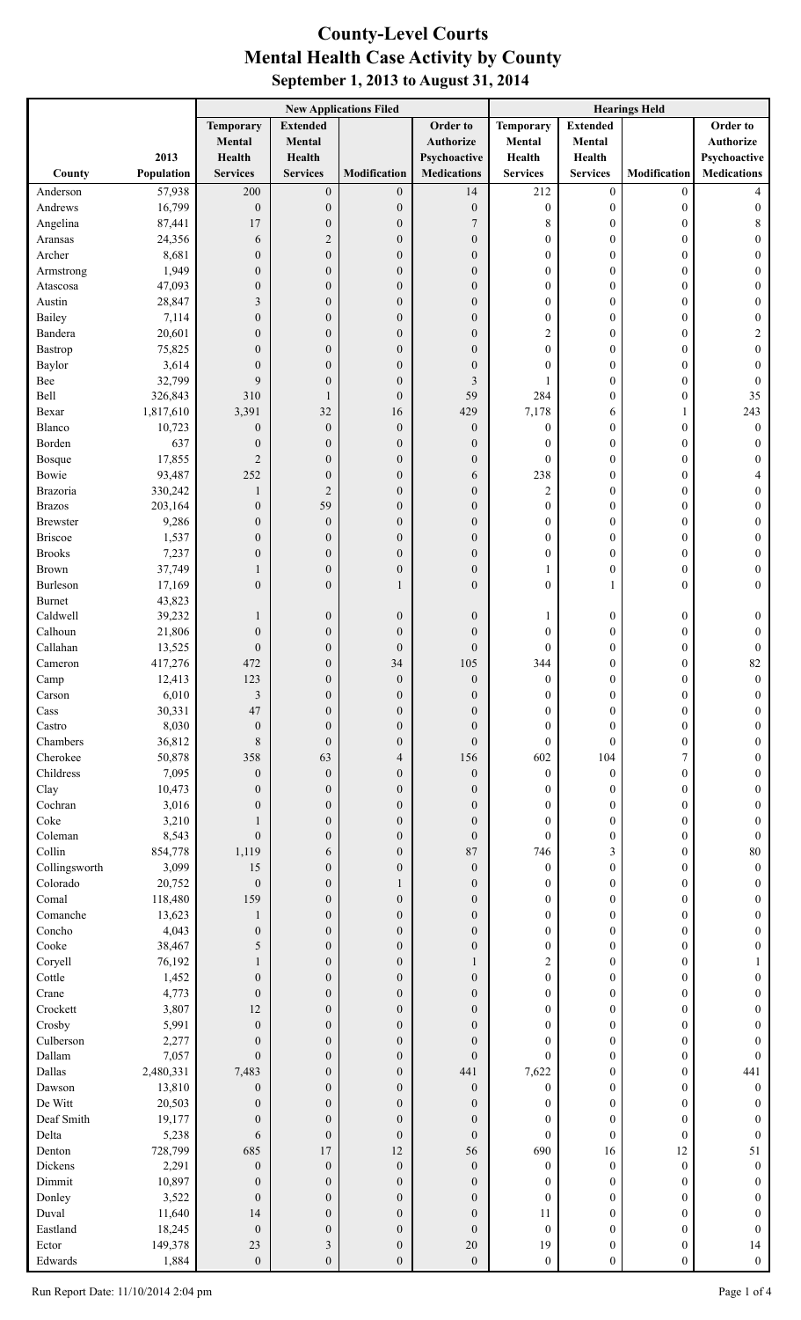## **County-Level Courts September 1, 2013 to August 31, 2014 Mental Health Case Activity by County**

|                           |                    | <b>New Applications Filed</b>        |                                      |                                      |                                      | <b>Hearings Held</b>                 |                                      |                                      |                                      |
|---------------------------|--------------------|--------------------------------------|--------------------------------------|--------------------------------------|--------------------------------------|--------------------------------------|--------------------------------------|--------------------------------------|--------------------------------------|
|                           |                    | <b>Temporary</b>                     | <b>Extended</b>                      |                                      | Order to                             | <b>Temporary</b>                     | <b>Extended</b>                      |                                      | Order to                             |
|                           |                    | Mental                               | Mental                               |                                      | <b>Authorize</b>                     | Mental                               | <b>Mental</b>                        |                                      | <b>Authorize</b>                     |
| County                    | 2013<br>Population | Health<br><b>Services</b>            | Health<br><b>Services</b>            | Modification                         | Psychoactive<br><b>Medications</b>   | Health<br><b>Services</b>            | Health<br><b>Services</b>            | Modification                         | Psychoactive<br><b>Medications</b>   |
| Anderson                  | 57,938             | 200                                  | $\boldsymbol{0}$                     | $\boldsymbol{0}$                     | 14                                   | 212                                  | $\boldsymbol{0}$                     | $\boldsymbol{0}$                     | 4                                    |
| Andrews                   | 16,799             | $\boldsymbol{0}$                     | $\boldsymbol{0}$                     | $\boldsymbol{0}$                     | $\boldsymbol{0}$                     | $\boldsymbol{0}$                     | $\boldsymbol{0}$                     | $\boldsymbol{0}$                     | 0                                    |
| Angelina                  | 87,441             | 17                                   | $\boldsymbol{0}$                     | $\boldsymbol{0}$                     | $\overline{7}$                       | 8                                    | $\boldsymbol{0}$                     | $\boldsymbol{0}$                     | 8                                    |
| Aransas                   | 24,356             | 6                                    | $\boldsymbol{2}$                     | $\boldsymbol{0}$                     | $\boldsymbol{0}$                     | $\boldsymbol{0}$                     | $\boldsymbol{0}$                     | $\boldsymbol{0}$                     | 0                                    |
| Archer                    | 8,681              | $\boldsymbol{0}$                     | $\boldsymbol{0}$                     | $\boldsymbol{0}$                     | $\boldsymbol{0}$                     | $\boldsymbol{0}$                     | $\boldsymbol{0}$                     | $\boldsymbol{0}$                     | 0                                    |
| Armstrong                 | 1,949              | $\boldsymbol{0}$                     | $\boldsymbol{0}$                     | $\boldsymbol{0}$                     | $\boldsymbol{0}$                     | $\boldsymbol{0}$                     | $\boldsymbol{0}$                     | $\boldsymbol{0}$                     | 0                                    |
| Atascosa                  | 47,093             | $\boldsymbol{0}$                     | $\boldsymbol{0}$                     | $\boldsymbol{0}$                     | $\boldsymbol{0}$                     | $\boldsymbol{0}$                     | $\boldsymbol{0}$                     | $\boldsymbol{0}$                     | 0                                    |
| Austin<br>Bailey          | 28,847<br>7,114    | 3<br>$\boldsymbol{0}$                | $\boldsymbol{0}$<br>$\boldsymbol{0}$ | $\boldsymbol{0}$<br>$\boldsymbol{0}$ | $\boldsymbol{0}$<br>$\boldsymbol{0}$ | $\boldsymbol{0}$<br>$\boldsymbol{0}$ | $\boldsymbol{0}$<br>$\boldsymbol{0}$ | $\boldsymbol{0}$                     | 0<br>0                               |
| Bandera                   | 20,601             | $\mathbf{0}$                         | $\boldsymbol{0}$                     | $\boldsymbol{0}$                     | $\boldsymbol{0}$                     | 2                                    | $\boldsymbol{0}$                     | $\boldsymbol{0}$<br>$\boldsymbol{0}$ | $\overline{\mathbf{c}}$              |
| Bastrop                   | 75,825             | $\mathbf{0}$                         | $\boldsymbol{0}$                     | $\boldsymbol{0}$                     | $\boldsymbol{0}$                     | $\boldsymbol{0}$                     | $\boldsymbol{0}$                     | $\boldsymbol{0}$                     | $\boldsymbol{0}$                     |
| Baylor                    | 3,614              | $\mathbf{0}$                         | $\boldsymbol{0}$                     | $\boldsymbol{0}$                     | $\boldsymbol{0}$                     | $\boldsymbol{0}$                     | $\boldsymbol{0}$                     | $\boldsymbol{0}$                     | $\boldsymbol{0}$                     |
| Bee                       | 32,799             | 9                                    | $\boldsymbol{0}$                     | $\boldsymbol{0}$                     | 3                                    |                                      | $\boldsymbol{0}$                     | $\boldsymbol{0}$                     | $\boldsymbol{0}$                     |
| Bell                      | 326,843            | 310                                  | $\mathbf{1}$                         | $\boldsymbol{0}$                     | 59                                   | 284                                  | $\boldsymbol{0}$                     | $\boldsymbol{0}$                     | 35                                   |
| Bexar                     | 1,817,610          | 3,391                                | 32                                   | 16                                   | 429                                  | 7,178                                | 6                                    | $\mathbf{1}$                         | 243                                  |
| Blanco                    | 10,723             | $\boldsymbol{0}$                     | $\boldsymbol{0}$                     | $\boldsymbol{0}$                     | $\boldsymbol{0}$                     | $\boldsymbol{0}$                     | $\boldsymbol{0}$                     | $\boldsymbol{0}$                     | $\boldsymbol{0}$                     |
| Borden<br><b>Bosque</b>   | 637<br>17,855      | $\boldsymbol{0}$<br>$\overline{c}$   | $\boldsymbol{0}$<br>$\boldsymbol{0}$ | $\boldsymbol{0}$<br>$\boldsymbol{0}$ | $\boldsymbol{0}$<br>$\boldsymbol{0}$ | $\boldsymbol{0}$<br>$\boldsymbol{0}$ | $\boldsymbol{0}$<br>$\boldsymbol{0}$ | $\boldsymbol{0}$<br>$\boldsymbol{0}$ | $\boldsymbol{0}$<br>$\boldsymbol{0}$ |
| Bowie                     | 93,487             | 252                                  | $\boldsymbol{0}$                     | $\boldsymbol{0}$                     | 6                                    | 238                                  | $\boldsymbol{0}$                     | $\boldsymbol{0}$                     | 4                                    |
| Brazoria                  | 330,242            | $\mathbf{1}$                         | $\overline{2}$                       | $\boldsymbol{0}$                     | $\boldsymbol{0}$                     | $\overline{\mathbf{c}}$              | $\boldsymbol{0}$                     | $\boldsymbol{0}$                     | 0                                    |
| <b>Brazos</b>             | 203,164            | $\boldsymbol{0}$                     | 59                                   | $\boldsymbol{0}$                     | $\boldsymbol{0}$                     | 0                                    | $\boldsymbol{0}$                     | $\boldsymbol{0}$                     | 0                                    |
| <b>Brewster</b>           | 9,286              | $\boldsymbol{0}$                     | $\boldsymbol{0}$                     | $\boldsymbol{0}$                     | $\boldsymbol{0}$                     | $\boldsymbol{0}$                     | $\boldsymbol{0}$                     | $\boldsymbol{0}$                     | 0                                    |
| <b>Briscoe</b>            | 1,537              | $\boldsymbol{0}$                     | $\boldsymbol{0}$                     | $\boldsymbol{0}$                     | $\boldsymbol{0}$                     | $\boldsymbol{0}$                     | $\boldsymbol{0}$                     | $\boldsymbol{0}$                     | 0                                    |
| <b>Brooks</b>             | 7,237              | $\overline{0}$                       | $\boldsymbol{0}$                     | $\boldsymbol{0}$                     | $\boldsymbol{0}$                     | $\boldsymbol{0}$                     | $\boldsymbol{0}$                     | $\boldsymbol{0}$                     | 0                                    |
| Brown                     | 37,749             |                                      | $\boldsymbol{0}$                     | $\boldsymbol{0}$                     | $\boldsymbol{0}$                     |                                      | $\boldsymbol{0}$                     | $\boldsymbol{0}$                     | 0                                    |
| Burleson<br><b>Burnet</b> | 17,169<br>43,823   | $\overline{0}$                       | $\boldsymbol{0}$                     | $\mathbf{1}$                         | $\mathbf{0}$                         | $\boldsymbol{0}$                     |                                      | $\boldsymbol{0}$                     | $\overline{0}$                       |
| Caldwell                  | 39,232             | $\mathbf{1}$                         | $\boldsymbol{0}$                     | $\boldsymbol{0}$                     | $\boldsymbol{0}$                     |                                      | $\boldsymbol{0}$                     | $\boldsymbol{0}$                     | 0                                    |
| Calhoun                   | 21,806             | $\boldsymbol{0}$                     | $\boldsymbol{0}$                     | $\boldsymbol{0}$                     | $\boldsymbol{0}$                     | $\boldsymbol{0}$                     | $\overline{0}$                       | $\boldsymbol{0}$                     | 0                                    |
| Callahan                  | 13,525             | $\boldsymbol{0}$                     | $\boldsymbol{0}$                     | $\boldsymbol{0}$                     | $\boldsymbol{0}$                     | $\boldsymbol{0}$                     | $\mathbf{0}$                         | $\boldsymbol{0}$                     | $\boldsymbol{0}$                     |
| Cameron                   | 417,276            | 472                                  | $\boldsymbol{0}$                     | 34                                   | 105                                  | 344                                  | $\boldsymbol{0}$                     | $\boldsymbol{0}$                     | 82                                   |
| Camp                      | 12,413             | 123                                  | $\Omega$                             | $\boldsymbol{0}$                     | $\boldsymbol{0}$                     | $\Omega$                             | $\Omega$                             | $\Omega$                             | $\boldsymbol{0}$                     |
| Carson                    | 6,010              | $\mathfrak{Z}$                       | $\boldsymbol{0}$                     | $\boldsymbol{0}$                     | $\boldsymbol{0}$                     | 0                                    | $\boldsymbol{0}$                     | $\boldsymbol{0}$                     | 0                                    |
| Cass<br>Castro            | 30,331<br>8,030    | 47<br>$\boldsymbol{0}$               | $\boldsymbol{0}$<br>$\boldsymbol{0}$ | $\boldsymbol{0}$<br>$\boldsymbol{0}$ | $\boldsymbol{0}$<br>$\boldsymbol{0}$ | $\boldsymbol{0}$<br>$\boldsymbol{0}$ | $\boldsymbol{0}$<br>$\mathbf{0}$     | $\boldsymbol{0}$<br>$\boldsymbol{0}$ | $\boldsymbol{0}$<br>$\theta$         |
| Chambers                  | 36,812             | 8                                    | $\boldsymbol{0}$                     | $\boldsymbol{0}$                     | $\mathbf{0}$                         | $\boldsymbol{0}$                     | $\overline{0}$                       | $\boldsymbol{0}$                     | $\theta$                             |
| Cherokee                  | 50,878             | 358                                  | 63                                   | 4                                    | 156                                  | 602                                  | 104                                  | 7                                    | $\theta$                             |
| Childress                 | 7,095              | $\boldsymbol{0}$                     | $\boldsymbol{0}$                     | $\boldsymbol{0}$                     | $\boldsymbol{0}$                     | $\boldsymbol{0}$                     | $\boldsymbol{0}$                     | $\boldsymbol{0}$                     | $\theta$                             |
| Clay                      | 10,473             | $\mathbf{0}$                         | $\boldsymbol{0}$                     | $\boldsymbol{0}$                     | $\boldsymbol{0}$                     | 0                                    | $\boldsymbol{0}$                     | $\boldsymbol{0}$                     | $\theta$                             |
| Cochran                   | 3,016              | $\mathbf{0}$                         | $\boldsymbol{0}$                     | $\boldsymbol{0}$                     | $\boldsymbol{0}$                     | 0                                    | $\boldsymbol{0}$                     | $\boldsymbol{0}$                     | $\theta$                             |
| Coke                      | 3,210              | 1                                    | $\boldsymbol{0}$                     | $\boldsymbol{0}$                     | $\boldsymbol{0}$                     | $\boldsymbol{0}$                     | $\boldsymbol{0}$                     | $\boldsymbol{0}$                     | $\theta$                             |
| Coleman                   | 8,543              | $\mathbf{0}$                         | $\boldsymbol{0}$                     | $\boldsymbol{0}$                     | $\boldsymbol{0}$                     | $\boldsymbol{0}$                     | $\boldsymbol{0}$                     | $\boldsymbol{0}$                     | $\theta$                             |
| Collin<br>Collingsworth   | 854,778<br>3,099   | 1,119<br>15                          | 6<br>$\boldsymbol{0}$                | $\boldsymbol{0}$<br>$\boldsymbol{0}$ | 87<br>$\boldsymbol{0}$               | 746<br>$\boldsymbol{0}$              | 3<br>$\boldsymbol{0}$                | $\boldsymbol{0}$<br>$\boldsymbol{0}$ | 80<br>$\theta$                       |
| Colorado                  | 20,752             | $\overline{0}$                       | $\boldsymbol{0}$                     | 1                                    | $\boldsymbol{0}$                     | 0                                    | $\boldsymbol{0}$                     | $\boldsymbol{0}$                     | $\boldsymbol{0}$                     |
| Comal                     | 118,480            | 159                                  | $\boldsymbol{0}$                     | $\boldsymbol{0}$                     | $\boldsymbol{0}$                     | 0                                    | $\boldsymbol{0}$                     | $\boldsymbol{0}$                     | $\boldsymbol{0}$                     |
| Comanche                  | 13,623             | $\mathbf{1}$                         | $\boldsymbol{0}$                     | $\boldsymbol{0}$                     | $\boldsymbol{0}$                     | 0                                    | $\mathbf{0}$                         | $\boldsymbol{0}$                     | $\theta$                             |
| Concho                    | 4,043              | $\boldsymbol{0}$                     | $\boldsymbol{0}$                     | $\boldsymbol{0}$                     | $\boldsymbol{0}$                     | $\boldsymbol{0}$                     | $\boldsymbol{0}$                     | $\boldsymbol{0}$                     | $\theta$                             |
| Cooke                     | 38,467             | 5                                    | $\boldsymbol{0}$                     | $\boldsymbol{0}$                     | $\boldsymbol{0}$                     | $\boldsymbol{0}$                     | $\boldsymbol{0}$                     | $\boldsymbol{0}$                     | $\theta$                             |
| Coryell                   | 76,192             | $\mathbf{1}$                         | $\boldsymbol{0}$                     | $\boldsymbol{0}$                     | 1                                    | $\overline{\mathbf{c}}$              | $\mathbf{0}$                         | $\boldsymbol{0}$                     |                                      |
| Cottle<br>Crane           | 1,452              | $\boldsymbol{0}$<br>$\boldsymbol{0}$ | $\boldsymbol{0}$<br>$\boldsymbol{0}$ | $\boldsymbol{0}$                     | $\boldsymbol{0}$<br>$\mathbf{0}$     | $\boldsymbol{0}$<br>$\boldsymbol{0}$ | $\boldsymbol{0}$<br>$\boldsymbol{0}$ | $\boldsymbol{0}$                     | $\boldsymbol{0}$<br>$\theta$         |
| Crockett                  | 4,773<br>3,807     | 12                                   | $\boldsymbol{0}$                     | $\boldsymbol{0}$<br>$\boldsymbol{0}$ | $\boldsymbol{0}$                     | $\boldsymbol{0}$                     | $\boldsymbol{0}$                     | $\boldsymbol{0}$<br>$\boldsymbol{0}$ | $\theta$                             |
| Crosby                    | 5,991              | $\mathbf{0}$                         | $\boldsymbol{0}$                     | $\boldsymbol{0}$                     | $\boldsymbol{0}$                     | $\boldsymbol{0}$                     | $\boldsymbol{0}$                     | $\boldsymbol{0}$                     | $\theta$                             |
| Culberson                 | 2,277              | $\mathbf{0}$                         | $\boldsymbol{0}$                     | $\boldsymbol{0}$                     | $\boldsymbol{0}$                     | $\boldsymbol{0}$                     | $\boldsymbol{0}$                     | $\boldsymbol{0}$                     | 0                                    |
| Dallam                    | 7,057              | $\mathbf{0}$                         | $\boldsymbol{0}$                     | $\boldsymbol{0}$                     | $\mathbf{0}$                         | $\boldsymbol{0}$                     | $\mathbf{0}$                         | $\boldsymbol{0}$                     | $\mathbf{0}$                         |
| Dallas                    | 2,480,331          | 7,483                                | $\boldsymbol{0}$                     | $\boldsymbol{0}$                     | 441                                  | 7,622                                | $\boldsymbol{0}$                     | $\boldsymbol{0}$                     | 441                                  |
| Dawson                    | 13,810             | $\boldsymbol{0}$                     | $\boldsymbol{0}$                     | $\boldsymbol{0}$                     | $\boldsymbol{0}$                     | $\boldsymbol{0}$                     | $\boldsymbol{0}$                     | $\boldsymbol{0}$                     | $\theta$                             |
| De Witt                   | 20,503             | $\theta$                             | $\boldsymbol{0}$                     | $\boldsymbol{0}$                     | $\boldsymbol{0}$                     | 0                                    | $\mathbf{0}$                         | $\boldsymbol{0}$                     | 0                                    |
| Deaf Smith<br>Delta       | 19,177<br>5,238    | $\theta$<br>6                        | $\boldsymbol{0}$<br>$\boldsymbol{0}$ | $\boldsymbol{0}$<br>$\boldsymbol{0}$ | $\boldsymbol{0}$<br>$\boldsymbol{0}$ | 0<br>$\boldsymbol{0}$                | $\mathbf{0}$<br>$\mathbf{0}$         | $\boldsymbol{0}$<br>$\boldsymbol{0}$ | 0<br>$\mathbf{0}$                    |
| Denton                    | 728,799            | 685                                  | 17                                   | 12                                   | 56                                   | 690                                  | 16                                   | 12                                   | 51                                   |
| Dickens                   | 2,291              | $\boldsymbol{0}$                     | $\boldsymbol{0}$                     | $\boldsymbol{0}$                     | $\boldsymbol{0}$                     | $\boldsymbol{0}$                     | $\boldsymbol{0}$                     | $\boldsymbol{0}$                     | $\boldsymbol{0}$                     |
| Dimmit                    | 10,897             | $\boldsymbol{0}$                     | $\boldsymbol{0}$                     | $\boldsymbol{0}$                     | $\boldsymbol{0}$                     | 0                                    | $\boldsymbol{0}$                     | $\boldsymbol{0}$                     | $\theta$                             |
| Donley                    | 3,522              | $\boldsymbol{0}$                     | $\boldsymbol{0}$                     | $\boldsymbol{0}$                     | $\boldsymbol{0}$                     | $\boldsymbol{0}$                     | $\overline{0}$                       | $\boldsymbol{0}$                     | 0                                    |
| Duval                     | 11,640             | 14                                   | $\boldsymbol{0}$                     | $\boldsymbol{0}$                     | $\boldsymbol{0}$                     | 11                                   | $\overline{0}$                       | $\boldsymbol{0}$                     | 0                                    |
| Eastland                  | 18,245             | $\boldsymbol{0}$                     | $\boldsymbol{0}$                     | $\boldsymbol{0}$                     | $\boldsymbol{0}$                     | $\boldsymbol{0}$                     | $\overline{0}$                       | $\boldsymbol{0}$                     | $\theta$                             |
| Ector                     | 149,378            | 23                                   | $\mathfrak{Z}$                       | $\boldsymbol{0}$                     | 20                                   | 19                                   | $\boldsymbol{0}$                     | $\boldsymbol{0}$                     | 14                                   |
| Edwards                   | 1,884              | $\boldsymbol{0}$                     | $\boldsymbol{0}$                     | $\boldsymbol{0}$                     | $\boldsymbol{0}$                     | $\boldsymbol{0}$                     | $\boldsymbol{0}$                     | $\boldsymbol{0}$                     | $\boldsymbol{0}$                     |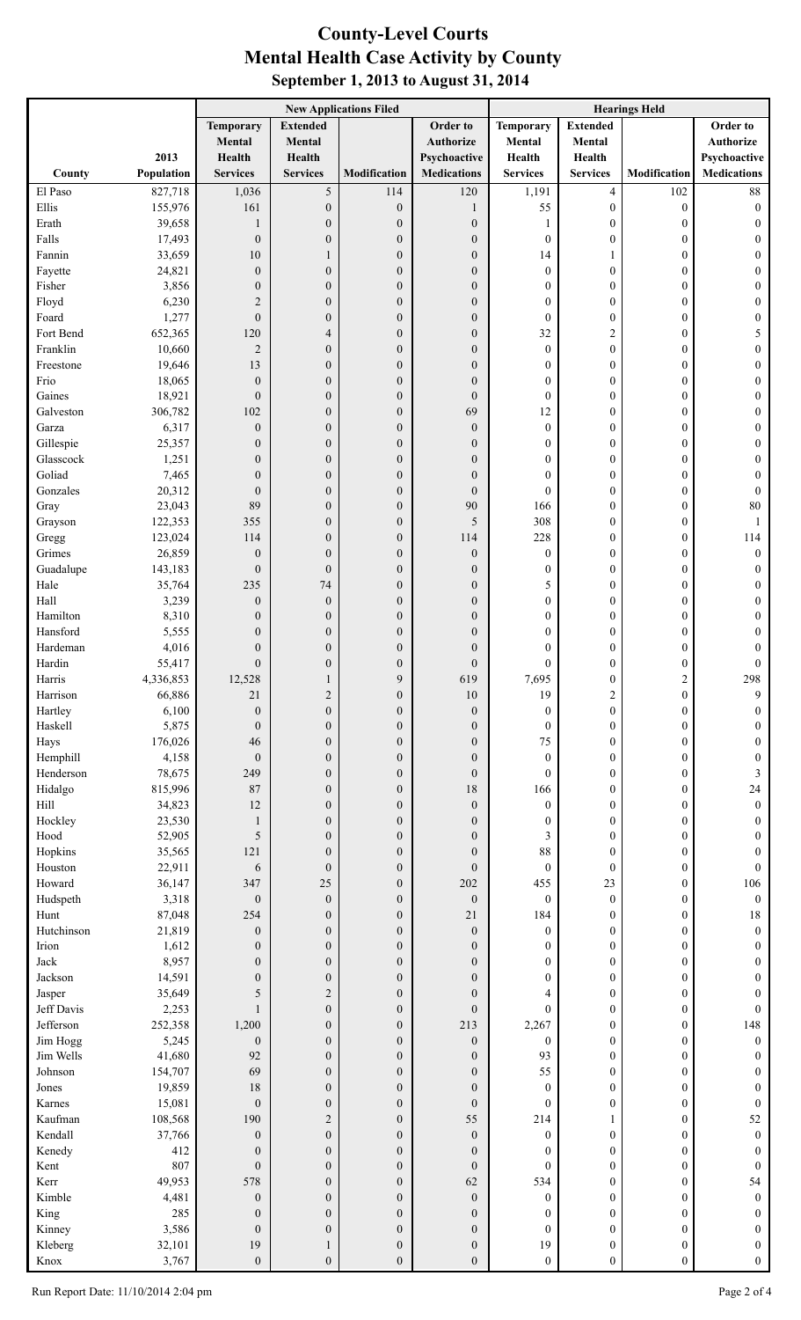## **County-Level Courts September 1, 2013 to August 31, 2014 Mental Health Case Activity by County**

|                       |                   | <b>New Applications Filed</b>        |                                      |                                      | <b>Hearings Held</b>                 |                                      |                                    |                                      |                                      |
|-----------------------|-------------------|--------------------------------------|--------------------------------------|--------------------------------------|--------------------------------------|--------------------------------------|------------------------------------|--------------------------------------|--------------------------------------|
|                       |                   | <b>Temporary</b>                     | <b>Extended</b>                      |                                      | Order to                             | <b>Temporary</b>                     | <b>Extended</b>                    |                                      | Order to                             |
|                       |                   | Mental                               | Mental                               |                                      | <b>Authorize</b>                     | Mental                               | Mental                             |                                      | <b>Authorize</b>                     |
|                       | 2013              | Health                               | Health                               |                                      | Psychoactive                         | Health                               | Health                             |                                      | Psychoactive                         |
| County                | Population        | <b>Services</b>                      | <b>Services</b>                      | Modification                         | <b>Medications</b>                   | <b>Services</b>                      | <b>Services</b>                    | Modification                         | <b>Medications</b>                   |
| El Paso<br>Ellis      | 827,718           | 1,036                                | 5                                    | 114                                  | 120                                  | 1,191                                | $\overline{4}$                     | 102                                  | $88\,$                               |
| Erath                 | 155,976<br>39,658 | 161<br>1                             | $\boldsymbol{0}$<br>$\boldsymbol{0}$ | $\boldsymbol{0}$<br>$\mathbf{0}$     | 1<br>$\boldsymbol{0}$                | 55<br>1                              | $\boldsymbol{0}$<br>$\overline{0}$ | $\boldsymbol{0}$<br>$\boldsymbol{0}$ | $\boldsymbol{0}$<br>$\mathbf{0}$     |
| Falls                 | 17,493            | $\mathbf{0}$                         | $\boldsymbol{0}$                     | $\boldsymbol{0}$                     | $\boldsymbol{0}$                     | $\boldsymbol{0}$                     | $\overline{0}$                     | $\boldsymbol{0}$                     | $\overline{0}$                       |
| Fannin                | 33,659            | 10                                   | 1                                    | $\boldsymbol{0}$                     | $\boldsymbol{0}$                     | 14                                   |                                    | $\boldsymbol{0}$                     | $\overline{0}$                       |
| Fayette               | 24,821            | $\boldsymbol{0}$                     | $\boldsymbol{0}$                     | $\boldsymbol{0}$                     | $\boldsymbol{0}$                     | $\boldsymbol{0}$                     | $\overline{0}$                     | $\boldsymbol{0}$                     | $\overline{0}$                       |
| Fisher                | 3,856             | $\boldsymbol{0}$                     | $\boldsymbol{0}$                     | $\boldsymbol{0}$                     | $\boldsymbol{0}$                     | $\boldsymbol{0}$                     | $\mathbf{0}$                       | $\boldsymbol{0}$                     | $\overline{0}$                       |
| Floyd                 | 6,230             | $\overline{2}$                       | $\boldsymbol{0}$                     | $\boldsymbol{0}$                     | $\boldsymbol{0}$                     | $\boldsymbol{0}$                     | $\mathbf{0}$                       | $\boldsymbol{0}$                     | $\boldsymbol{0}$                     |
| Foard                 | 1,277             | $\boldsymbol{0}$                     | $\boldsymbol{0}$                     | $\boldsymbol{0}$                     | $\boldsymbol{0}$                     | $\boldsymbol{0}$                     | $\mathbf{0}$                       | $\boldsymbol{0}$                     | $\boldsymbol{0}$                     |
| Fort Bend<br>Franklin | 652,365<br>10,660 | 120<br>$\overline{2}$                | $\overline{4}$<br>$\boldsymbol{0}$   | $\boldsymbol{0}$<br>$\boldsymbol{0}$ | $\boldsymbol{0}$<br>$\boldsymbol{0}$ | 32<br>$\boldsymbol{0}$               | 2<br>$\overline{0}$                | $\boldsymbol{0}$<br>$\boldsymbol{0}$ | 5<br>$\boldsymbol{0}$                |
| Freestone             | 19,646            | 13                                   | $\boldsymbol{0}$                     | $\boldsymbol{0}$                     | $\overline{0}$                       | $\boldsymbol{0}$                     | $\overline{0}$                     | $\boldsymbol{0}$                     | $\overline{0}$                       |
| Frio                  | 18,065            | $\mathbf{0}$                         | $\boldsymbol{0}$                     | $\boldsymbol{0}$                     | $\overline{0}$                       | $\boldsymbol{0}$                     | $\mathbf{0}$                       | $\boldsymbol{0}$                     | $\overline{0}$                       |
| Gaines                | 18,921            | $\boldsymbol{0}$                     | $\boldsymbol{0}$                     | $\boldsymbol{0}$                     | $\overline{0}$                       | $\boldsymbol{0}$                     | $\mathbf{0}$                       | $\boldsymbol{0}$                     | $\overline{0}$                       |
| Galveston             | 306,782           | 102                                  | $\boldsymbol{0}$                     | $\boldsymbol{0}$                     | 69                                   | 12                                   | $\mathbf{0}$                       | $\boldsymbol{0}$                     | $\overline{0}$                       |
| Garza                 | 6,317             | $\boldsymbol{0}$                     | $\boldsymbol{0}$                     | $\boldsymbol{0}$                     | $\boldsymbol{0}$                     | $\boldsymbol{0}$                     | $\mathbf{0}$                       | $\boldsymbol{0}$                     | $\overline{0}$                       |
| Gillespie             | 25,357            | $\boldsymbol{0}$                     | $\boldsymbol{0}$                     | $\boldsymbol{0}$                     | $\boldsymbol{0}$                     | $\boldsymbol{0}$                     | $\mathbf{0}$                       | $\boldsymbol{0}$                     | $\overline{0}$                       |
| Glasscock<br>Goliad   | 1,251             | $\boldsymbol{0}$                     | $\boldsymbol{0}$                     | $\boldsymbol{0}$                     | $\boldsymbol{0}$                     | $\boldsymbol{0}$                     | $\mathbf{0}$                       | $\boldsymbol{0}$                     | $\theta$                             |
| Gonzales              | 7,465<br>20,312   | $\boldsymbol{0}$<br>$\boldsymbol{0}$ | $\boldsymbol{0}$<br>$\boldsymbol{0}$ | $\boldsymbol{0}$<br>$\boldsymbol{0}$ | $\overline{0}$<br>$\boldsymbol{0}$   | $\boldsymbol{0}$<br>$\boldsymbol{0}$ | $\mathbf{0}$<br>$\Omega$           | $\boldsymbol{0}$<br>$\boldsymbol{0}$ | $\mathbf{0}$<br>$\boldsymbol{0}$     |
| Gray                  | 23,043            | 89                                   | $\boldsymbol{0}$                     | $\boldsymbol{0}$                     | 90                                   | 166                                  | $\mathbf{0}$                       | $\boldsymbol{0}$                     | 80                                   |
| Grayson               | 122,353           | 355                                  | $\boldsymbol{0}$                     | $\boldsymbol{0}$                     | 5                                    | 308                                  | $\mathbf{0}$                       | $\boldsymbol{0}$                     | $\mathbf{1}$                         |
| Gregg                 | 123,024           | 114                                  | $\boldsymbol{0}$                     | $\boldsymbol{0}$                     | 114                                  | 228                                  | $\mathbf{0}$                       | $\boldsymbol{0}$                     | 114                                  |
| Grimes                | 26,859            | $\boldsymbol{0}$                     | $\boldsymbol{0}$                     | $\boldsymbol{0}$                     | $\boldsymbol{0}$                     | $\boldsymbol{0}$                     | $\mathbf{0}$                       | $\boldsymbol{0}$                     | $\boldsymbol{0}$                     |
| Guadalupe             | 143,183           | $\boldsymbol{0}$                     | $\boldsymbol{0}$                     | $\boldsymbol{0}$                     | $\boldsymbol{0}$                     | $\boldsymbol{0}$                     | $\mathbf{0}$                       | $\boldsymbol{0}$                     | $\mathbf{0}$                         |
| Hale                  | 35,764            | 235                                  | 74                                   | $\boldsymbol{0}$                     | $\boldsymbol{0}$                     | 5                                    | $\mathbf{0}$                       | $\boldsymbol{0}$                     | $\mathbf{0}$                         |
| Hall<br>Hamilton      | 3,239<br>8,310    | $\boldsymbol{0}$<br>$\boldsymbol{0}$ | $\boldsymbol{0}$<br>$\boldsymbol{0}$ | $\boldsymbol{0}$<br>$\boldsymbol{0}$ | $\boldsymbol{0}$<br>$\overline{0}$   | $\boldsymbol{0}$<br>$\boldsymbol{0}$ | $\mathbf{0}$<br>$\Omega$           | $\boldsymbol{0}$<br>$\boldsymbol{0}$ | $\overline{0}$<br>$\theta$           |
| Hansford              | 5,555             | $\boldsymbol{0}$                     | $\boldsymbol{0}$                     | $\mathbf{0}$                         | $\overline{0}$                       | $\boldsymbol{0}$                     | $\theta$                           | $\boldsymbol{0}$                     | $\mathbf{0}$                         |
| Hardeman              | 4,016             | $\boldsymbol{0}$                     | $\boldsymbol{0}$                     | $\boldsymbol{0}$                     | $\overline{0}$                       | $\boldsymbol{0}$                     | $\theta$                           | $\boldsymbol{0}$                     | $\mathbf{0}$                         |
| Hardin                | 55,417            | $\boldsymbol{0}$                     | $\boldsymbol{0}$                     | $\boldsymbol{0}$                     | $\overline{0}$                       | 0                                    | $\theta$                           | $\boldsymbol{0}$                     | $\boldsymbol{0}$                     |
| Harris                | 4,336,853         | 12,528                               |                                      | 9                                    | 619                                  | 7,695                                | $\Omega$                           | $\overline{c}$                       | 298                                  |
| Harrison              | 66,886            | 21                                   | $\overline{c}$                       | $\boldsymbol{0}$                     | 10                                   | 19                                   | 2                                  | $\boldsymbol{0}$                     | 9                                    |
| Hartley               | 6,100             | $\mathbf{0}$                         | $\boldsymbol{0}$                     | $\boldsymbol{0}$                     | $\boldsymbol{0}$                     | $\boldsymbol{0}$                     | $\overline{0}$                     | $\boldsymbol{0}$                     | $\overline{0}$                       |
| Haskell<br>Hays       | 5,875<br>176,026  | $\overline{0}$<br>46                 | $\boldsymbol{0}$<br>$\boldsymbol{0}$ | $\overline{0}$<br>$\overline{0}$     | $\boldsymbol{0}$<br>$\boldsymbol{0}$ | $\boldsymbol{0}$<br>75               | $\overline{0}$<br>$\overline{0}$   | $\boldsymbol{0}$<br>$\boldsymbol{0}$ | $\theta$<br>$\overline{0}$           |
| Hemphill              | 4,158             | $\mathbf{0}$                         | $\boldsymbol{0}$                     | $\overline{0}$                       | $\overline{0}$                       | $\boldsymbol{0}$                     | $\overline{0}$                     | $\boldsymbol{0}$                     | $\theta$                             |
| Henderson             | 78,675            | 249                                  | $\boldsymbol{0}$                     | $\overline{0}$                       | $\overline{0}$                       | $\boldsymbol{0}$                     | $\overline{0}$                     | $\boldsymbol{0}$                     | 3                                    |
| Hidalgo               | 815,996           | 87                                   | $\boldsymbol{0}$                     | $\overline{0}$                       | 18                                   | 166                                  | $\overline{0}$                     | $\boldsymbol{0}$                     | 24                                   |
| Hill                  | 34,823            | 12                                   | $\boldsymbol{0}$                     | $\overline{0}$                       | $\boldsymbol{0}$                     | $\boldsymbol{0}$                     | $\overline{0}$                     | $\boldsymbol{0}$                     | $\mathbf{0}$                         |
| Hockley               | 23,530            | $\mathbf{1}$                         | $\boldsymbol{0}$                     | $\overline{0}$                       | $\boldsymbol{0}$                     | $\boldsymbol{0}$                     | $\overline{0}$                     | $\boldsymbol{0}$                     | $\mathbf{0}$                         |
| Hood                  | 52,905            | 5                                    | $\boldsymbol{0}$                     | $\overline{0}$                       | $\boldsymbol{0}$                     | 3                                    | $\Omega$                           | $\boldsymbol{0}$                     | $\mathbf{0}$                         |
| Hopkins<br>Houston    | 35,565<br>22,911  | 121<br>6                             | $\boldsymbol{0}$<br>$\boldsymbol{0}$ | $\overline{0}$<br>$\overline{0}$     | $\overline{0}$<br>$\overline{0}$     | 88<br>$\boldsymbol{0}$               | $\Omega$<br>$\mathbf{0}$           | $\boldsymbol{0}$<br>$\boldsymbol{0}$ | $\mathbf{0}$<br>$\mathbf{0}$         |
| Howard                | 36,147            | 347                                  | 25                                   | $\overline{0}$                       | 202                                  | 455                                  | 23                                 | $\boldsymbol{0}$                     | 106                                  |
| Hudspeth              | 3,318             | $\boldsymbol{0}$                     | $\boldsymbol{0}$                     | $\boldsymbol{0}$                     | $\mathbf{0}$                         | $\boldsymbol{0}$                     | $\mathbf{0}$                       | $\boldsymbol{0}$                     | $\boldsymbol{0}$                     |
| Hunt                  | 87,048            | 254                                  | $\boldsymbol{0}$                     | $\overline{0}$                       | 21                                   | 184                                  | $\overline{0}$                     | $\boldsymbol{0}$                     | 18                                   |
| Hutchinson            | 21,819            | $\boldsymbol{0}$                     | $\boldsymbol{0}$                     | $\overline{0}$                       | $\boldsymbol{0}$                     | $\boldsymbol{0}$                     | $\overline{0}$                     | $\boldsymbol{0}$                     | $\mathbf{0}$                         |
| Irion                 | 1,612             | $\boldsymbol{0}$                     | $\boldsymbol{0}$                     | $\overline{0}$                       | $\boldsymbol{0}$                     | 0                                    | $\overline{0}$                     | $\boldsymbol{0}$                     | $\mathbf{0}$                         |
| Jack                  | 8,957             | $\mathbf{0}$                         | $\boldsymbol{0}$                     | $\overline{0}$                       | $\boldsymbol{0}$                     | 0                                    | $\overline{0}$                     | $\boldsymbol{0}$                     | $\theta$                             |
| Jackson<br>Jasper     | 14,591<br>35,649  | $\mathbf{0}$<br>5                    | $\boldsymbol{0}$<br>$\mathbf 2$      | $\overline{0}$<br>$\overline{0}$     | $\boldsymbol{0}$<br>$\overline{0}$   | $\boldsymbol{0}$<br>4                | $\Omega$<br>$\overline{0}$         | $\boldsymbol{0}$<br>$\boldsymbol{0}$ | $\theta$<br>$\mathbf{0}$             |
| Jeff Davis            | 2,253             | 1                                    | $\boldsymbol{0}$                     | $\overline{0}$                       | $\overline{0}$                       | $\mathbf{0}$                         | $\overline{0}$                     | $\boldsymbol{0}$                     | $\mathbf{0}$                         |
| Jefferson             | 252,358           | 1,200                                | $\boldsymbol{0}$                     | $\overline{0}$                       | 213                                  | 2,267                                | $\overline{0}$                     | $\boldsymbol{0}$                     | 148                                  |
| Jim Hogg              | 5,245             | $\boldsymbol{0}$                     | $\boldsymbol{0}$                     | $\overline{0}$                       | $\boldsymbol{0}$                     | $\boldsymbol{0}$                     | $\overline{0}$                     | $\boldsymbol{0}$                     | $\mathbf{0}$                         |
| Jim Wells             | 41,680            | 92                                   | $\boldsymbol{0}$                     | $\overline{0}$                       | $\boldsymbol{0}$                     | 93                                   | $\overline{0}$                     | $\boldsymbol{0}$                     | $\mathbf{0}$                         |
| Johnson               | 154,707           | 69                                   | $\boldsymbol{0}$                     | $\overline{0}$                       | $\boldsymbol{0}$                     | 55                                   | $\overline{0}$                     | $\boldsymbol{0}$                     | $\mathbf{0}$                         |
| Jones                 | 19,859            | 18                                   | $\boldsymbol{0}$                     | $\overline{0}$                       | $\overline{0}$                       | $\boldsymbol{0}$                     | $\overline{0}$                     | $\boldsymbol{0}$                     | $\theta$                             |
| Karnes<br>Kaufman     | 15,081            | $\overline{0}$                       | $\boldsymbol{0}$                     | $\overline{0}$                       | $\mathbf{0}$                         | $\mathbf{0}$                         | $\overline{0}$                     | $\boldsymbol{0}$                     | $\mathbf{0}$                         |
| Kendall               | 108,568<br>37,766 | 190<br>$\boldsymbol{0}$              | $\mathbf 2$<br>$\boldsymbol{0}$      | $\overline{0}$<br>$\overline{0}$     | 55<br>$\boldsymbol{0}$               | 214<br>$\boldsymbol{0}$              | 1<br>$\overline{0}$                | $\boldsymbol{0}$<br>$\boldsymbol{0}$ | 52<br>$\boldsymbol{0}$               |
| Kenedy                | 412               | $\theta$                             | $\boldsymbol{0}$                     | $\overline{0}$                       | $\mathbf{0}$                         | $\boldsymbol{0}$                     | $\overline{0}$                     | $\boldsymbol{0}$                     | $\mathbf{0}$                         |
| Kent                  | 807               | $\boldsymbol{0}$                     | $\boldsymbol{0}$                     | $\overline{0}$                       | $\mathbf{0}$                         | $\mathbf{0}$                         | $\Omega$                           | $\boldsymbol{0}$                     | $\mathbf{0}$                         |
| Kerr                  | 49,953            | 578                                  | $\boldsymbol{0}$                     | $\overline{0}$                       | 62                                   | 534                                  | $\overline{0}$                     | $\boldsymbol{0}$                     | 54                                   |
| Kimble                | 4,481             | $\boldsymbol{0}$                     | $\boldsymbol{0}$                     | $\overline{0}$                       | $\boldsymbol{0}$                     | $\boldsymbol{0}$                     | $\Omega$                           | $\boldsymbol{0}$                     | $\mathbf{0}$                         |
| King                  | 285               | $\boldsymbol{0}$                     | $\boldsymbol{0}$                     | $\overline{0}$                       | $\boldsymbol{0}$                     | 0                                    | $\Omega$                           | $\boldsymbol{0}$                     | $\mathbf{0}$                         |
| Kinney                | 3,586             | $\boldsymbol{0}$                     | $\boldsymbol{0}$                     | $\overline{0}$                       | $\overline{0}$                       | $\boldsymbol{0}$                     | $\Omega$                           | $\boldsymbol{0}$                     | $\mathbf{0}$                         |
| Kleberg<br>Knox       | 32,101<br>3,767   | 19<br>$\boldsymbol{0}$               | $\mathbf{1}$<br>$\boldsymbol{0}$     | $\boldsymbol{0}$<br>$\boldsymbol{0}$ | $\boldsymbol{0}$<br>$\boldsymbol{0}$ | 19<br>$\boldsymbol{0}$               | $\overline{0}$<br>$\boldsymbol{0}$ | $\boldsymbol{0}$<br>$\boldsymbol{0}$ | $\boldsymbol{0}$<br>$\boldsymbol{0}$ |
|                       |                   |                                      |                                      |                                      |                                      |                                      |                                    |                                      |                                      |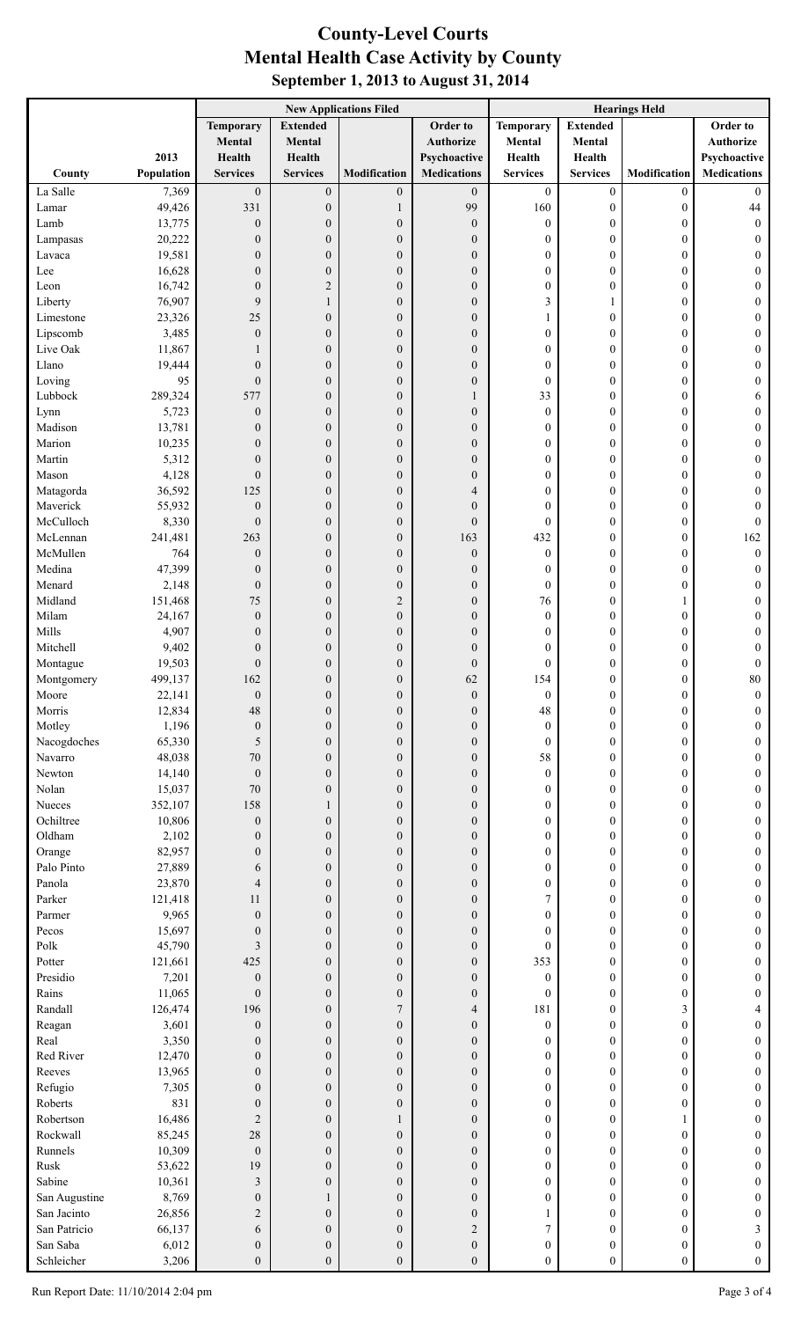## **County-Level Courts September 1, 2013 to August 31, 2014 Mental Health Case Activity by County**

|                        |                   | <b>New Applications Filed</b>        |                                      |                                      |                                      | <b>Hearings Held</b>                 |                                      |                                      |                                      |
|------------------------|-------------------|--------------------------------------|--------------------------------------|--------------------------------------|--------------------------------------|--------------------------------------|--------------------------------------|--------------------------------------|--------------------------------------|
|                        |                   | <b>Temporary</b>                     | <b>Extended</b>                      |                                      | Order to                             | <b>Temporary</b>                     | <b>Extended</b>                      |                                      | Order to                             |
|                        |                   | Mental                               | Mental                               |                                      | Authorize                            | Mental                               | Mental                               |                                      | Authorize                            |
|                        | 2013              | Health                               | Health                               |                                      | Psychoactive                         | Health                               | Health                               |                                      | Psychoactive                         |
| County                 | Population        | <b>Services</b>                      | <b>Services</b>                      | Modification                         | <b>Medications</b>                   | <b>Services</b>                      | <b>Services</b>                      | Modification                         | <b>Medications</b>                   |
| La Salle<br>Lamar      | 7,369<br>49,426   | $\boldsymbol{0}$<br>331              | $\boldsymbol{0}$<br>$\boldsymbol{0}$ | $\boldsymbol{0}$<br>1                | $\mathbf{0}$<br>99                   | $\boldsymbol{0}$<br>160              | $\boldsymbol{0}$<br>$\boldsymbol{0}$ | $\boldsymbol{0}$<br>$\boldsymbol{0}$ | $\mathbf{0}$<br>$44\,$               |
| Lamb                   | 13,775            | $\boldsymbol{0}$                     | $\boldsymbol{0}$                     | $\boldsymbol{0}$                     | $\boldsymbol{0}$                     | $\boldsymbol{0}$                     | $\boldsymbol{0}$                     | $\boldsymbol{0}$                     | $\boldsymbol{0}$                     |
| Lampasas               | 20,222            | $\boldsymbol{0}$                     | $\boldsymbol{0}$                     | $\boldsymbol{0}$                     | $\theta$                             | 0                                    | $\boldsymbol{0}$                     | $\boldsymbol{0}$                     | $\boldsymbol{0}$                     |
| Lavaca                 | 19,581            | $\boldsymbol{0}$                     | $\boldsymbol{0}$                     | $\boldsymbol{0}$                     | $\mathbf{0}$                         | 0                                    | $\boldsymbol{0}$                     | $\boldsymbol{0}$                     | 0                                    |
| Lee                    | 16,628            | $\boldsymbol{0}$                     | $\boldsymbol{0}$                     | $\boldsymbol{0}$                     | $\mathbf{0}$                         | 0                                    | $\boldsymbol{0}$                     | $\boldsymbol{0}$                     | 0                                    |
| Leon                   | 16,742            | $\mathbf{0}$                         | $\sqrt{2}$                           | $\boldsymbol{0}$                     | $\mathbf{0}$                         | 0                                    | $\overline{0}$                       | $\boldsymbol{0}$                     | 0                                    |
| Liberty                | 76,907            | 9                                    | $\mathbf{1}$                         | $\boldsymbol{0}$                     | $\mathbf{0}$                         | 3                                    | 1                                    | $\boldsymbol{0}$                     | 0                                    |
| Limestone              | 23,326            | 25                                   | $\boldsymbol{0}$                     | $\boldsymbol{0}$                     | $\mathbf{0}$                         | 1                                    | $\boldsymbol{0}$                     | $\boldsymbol{0}$                     | 0                                    |
| Lipscomb<br>Live Oak   | 3,485<br>11,867   | $\mathbf{0}$<br>1                    | $\boldsymbol{0}$<br>$\boldsymbol{0}$ | $\boldsymbol{0}$<br>$\boldsymbol{0}$ | $\mathbf{0}$<br>$\mathbf{0}$         | 0<br>0                               | $\boldsymbol{0}$<br>$\boldsymbol{0}$ | $\boldsymbol{0}$<br>$\boldsymbol{0}$ | 0<br>0                               |
| Llano                  | 19,444            | $\boldsymbol{0}$                     | $\boldsymbol{0}$                     | $\boldsymbol{0}$                     | $\mathbf{0}$                         | 0                                    | $\boldsymbol{0}$                     | $\boldsymbol{0}$                     | 0                                    |
| Loving                 | 95                | $\boldsymbol{0}$                     | $\boldsymbol{0}$                     | $\boldsymbol{0}$                     | $\boldsymbol{0}$                     | $\boldsymbol{0}$                     | $\boldsymbol{0}$                     | $\boldsymbol{0}$                     | 0                                    |
| Lubbock                | 289,324           | 577                                  | $\boldsymbol{0}$                     | $\boldsymbol{0}$                     | 1                                    | 33                                   | $\boldsymbol{0}$                     | $\boldsymbol{0}$                     | 6                                    |
| Lynn                   | 5,723             | $\boldsymbol{0}$                     | $\boldsymbol{0}$                     | $\boldsymbol{0}$                     | $\boldsymbol{0}$                     | $\boldsymbol{0}$                     | $\boldsymbol{0}$                     | $\boldsymbol{0}$                     | $\boldsymbol{0}$                     |
| Madison                | 13,781            | $\boldsymbol{0}$                     | $\boldsymbol{0}$                     | $\boldsymbol{0}$                     | $\mathbf{0}$                         | 0                                    | $\boldsymbol{0}$                     | $\boldsymbol{0}$                     | 0                                    |
| Marion                 | 10,235            | $\mathbf{0}$                         | $\boldsymbol{0}$                     | $\boldsymbol{0}$                     | $\mathbf{0}$                         | 0                                    | $\boldsymbol{0}$                     | $\boldsymbol{0}$                     | 0                                    |
| Martin<br>Mason        | 5,312<br>4,128    | $\boldsymbol{0}$<br>$\boldsymbol{0}$ | $\boldsymbol{0}$<br>$\boldsymbol{0}$ | $\boldsymbol{0}$<br>$\boldsymbol{0}$ | $\theta$<br>$\mathbf{0}$             | 0<br>0                               | $\boldsymbol{0}$<br>$\boldsymbol{0}$ | $\boldsymbol{0}$<br>$\boldsymbol{0}$ | 0<br>0                               |
| Matagorda              | 36,592            | 125                                  | $\boldsymbol{0}$                     | $\boldsymbol{0}$                     | $\overline{4}$                       | 0                                    | $\boldsymbol{0}$                     | $\boldsymbol{0}$                     | $\boldsymbol{0}$                     |
| Maverick               | 55,932            | $\boldsymbol{0}$                     | $\boldsymbol{0}$                     | $\boldsymbol{0}$                     | $\mathbf{0}$                         | 0                                    | $\boldsymbol{0}$                     | $\boldsymbol{0}$                     | 0                                    |
| McCulloch              | 8,330             | $\boldsymbol{0}$                     | $\boldsymbol{0}$                     | $\boldsymbol{0}$                     | $\mathbf{0}$                         | $\boldsymbol{0}$                     | $\boldsymbol{0}$                     | $\boldsymbol{0}$                     | $\boldsymbol{0}$                     |
| McLennan               | 241,481           | 263                                  | $\boldsymbol{0}$                     | $\boldsymbol{0}$                     | 163                                  | 432                                  | $\boldsymbol{0}$                     | $\boldsymbol{0}$                     | 162                                  |
| McMullen               | 764               | $\boldsymbol{0}$                     | $\boldsymbol{0}$                     | $\boldsymbol{0}$                     | $\boldsymbol{0}$                     | $\boldsymbol{0}$                     | $\boldsymbol{0}$                     | $\boldsymbol{0}$                     | $\boldsymbol{0}$                     |
| Medina                 | 47,399            | $\boldsymbol{0}$                     | $\boldsymbol{0}$                     | $\boldsymbol{0}$                     | $\boldsymbol{0}$                     | 0                                    | $\boldsymbol{0}$                     | $\boldsymbol{0}$                     | $\boldsymbol{0}$                     |
| Menard<br>Midland      | 2,148             | $\boldsymbol{0}$                     | $\boldsymbol{0}$                     | $\boldsymbol{0}$                     | $\mathbf{0}$                         | $\boldsymbol{0}$                     | $\boldsymbol{0}$                     | $\boldsymbol{0}$                     | 0                                    |
| Milam                  | 151,468<br>24,167 | 75<br>$\boldsymbol{0}$               | $\boldsymbol{0}$<br>$\boldsymbol{0}$ | $\overline{2}$<br>$\boldsymbol{0}$   | $\mathbf{0}$<br>$\mathbf{0}$         | 76<br>$\boldsymbol{0}$               | $\boldsymbol{0}$<br>$\boldsymbol{0}$ | 1<br>$\boldsymbol{0}$                | 0<br>0                               |
| Mills                  | 4,907             | $\mathbf{0}$                         | $\boldsymbol{0}$                     | $\boldsymbol{0}$                     | $\mathbf{0}$                         | 0                                    | $\overline{0}$                       | $\boldsymbol{0}$                     | 0                                    |
| Mitchell               | 9,402             | $\mathbf{0}$                         | $\boldsymbol{0}$                     | $\boldsymbol{0}$                     | $\theta$                             | 0                                    | $\mathbf{0}$                         | $\boldsymbol{0}$                     | 0                                    |
| Montague               | 19,503            | $\boldsymbol{0}$                     | $\boldsymbol{0}$                     | $\boldsymbol{0}$                     | $\boldsymbol{0}$                     | 0                                    | $\boldsymbol{0}$                     | $\boldsymbol{0}$                     | $\boldsymbol{0}$                     |
| Montgomery             | 499,137           | 162                                  | $\Omega$                             | $\Omega$                             | 62                                   | 154                                  | $\Omega$                             | $\theta$                             | 80                                   |
| Moore                  | 22,141            | $\boldsymbol{0}$                     | $\boldsymbol{0}$                     | $\boldsymbol{0}$                     | $\boldsymbol{0}$                     | $\boldsymbol{0}$                     | 0                                    | $\boldsymbol{0}$                     | 0                                    |
| Morris                 | 12,834            | 48                                   | $\boldsymbol{0}$                     | $\boldsymbol{0}$                     | $\boldsymbol{0}$                     | 48                                   | $\boldsymbol{0}$                     | $\boldsymbol{0}$                     | $\boldsymbol{0}$                     |
| Motley<br>Nacogdoches  | 1,196<br>65,330   | $\boldsymbol{0}$<br>5                | $\boldsymbol{0}$<br>$\boldsymbol{0}$ | $\boldsymbol{0}$<br>$\theta$         | $\mathbf{0}$<br>$\mathbf{0}$         | $\boldsymbol{0}$<br>$\boldsymbol{0}$ | $\boldsymbol{0}$<br>$\boldsymbol{0}$ | $\boldsymbol{0}$<br>$\boldsymbol{0}$ | 0<br>$\boldsymbol{0}$                |
| Navarro                | 48,038            | 70                                   | $\boldsymbol{0}$                     | $\theta$                             | $\mathbf{0}$                         | 58                                   | $\overline{0}$                       | $\boldsymbol{0}$                     | $\boldsymbol{0}$                     |
| Newton                 | 14,140            | $\mathbf{0}$                         | $\boldsymbol{0}$                     | $\theta$                             | $\mathbf{0}$                         | $\boldsymbol{0}$                     | $\boldsymbol{0}$                     | $\boldsymbol{0}$                     | $\boldsymbol{0}$                     |
| Nolan                  | 15,037            | 70                                   | $\boldsymbol{0}$                     | $\theta$                             | $\mathbf{0}$                         | 0                                    | $\boldsymbol{0}$                     | $\boldsymbol{0}$                     | $\boldsymbol{0}$                     |
| Nueces                 | 352,107           | 158                                  | $\mathbf{1}$                         | $\theta$                             | $\mathbf{0}$                         | 0                                    | $\overline{0}$                       | $\boldsymbol{0}$                     | $\boldsymbol{0}$                     |
| Ochiltree              | 10,806            | $\boldsymbol{0}$                     | $\boldsymbol{0}$                     | $\theta$                             | $\mathbf{0}$                         | 0                                    | $\overline{0}$                       | $\boldsymbol{0}$                     | $\boldsymbol{0}$                     |
| Oldham                 | 2,102             | $\boldsymbol{0}$                     | $\boldsymbol{0}$                     | $\theta$                             | $\mathbf{0}$                         | 0                                    | $\boldsymbol{0}$                     | $\boldsymbol{0}$                     | $\boldsymbol{0}$                     |
| Orange<br>Palo Pinto   | 82,957<br>27,889  | $\overline{0}$<br>6                  | $\boldsymbol{0}$<br>$\boldsymbol{0}$ | $\theta$<br>$\theta$                 | $\mathbf{0}$<br>$\mathbf{0}$         | 0<br>0                               | $\overline{0}$<br>$\boldsymbol{0}$   | $\boldsymbol{0}$<br>$\boldsymbol{0}$ | $\boldsymbol{0}$<br>$\boldsymbol{0}$ |
| Panola                 | 23,870            | 4                                    | $\boldsymbol{0}$                     | $\theta$                             | $\mathbf{0}$                         | 0                                    | $\boldsymbol{0}$                     | $\boldsymbol{0}$                     | $\boldsymbol{0}$                     |
| Parker                 | 121,418           | 11                                   | $\boldsymbol{0}$                     | $\theta$                             | $\mathbf{0}$                         | 7                                    | $\overline{0}$                       | $\boldsymbol{0}$                     | $\boldsymbol{0}$                     |
| Parmer                 | 9,965             | $\overline{0}$                       | $\boldsymbol{0}$                     | $\theta$                             | $\mathbf{0}$                         | $\boldsymbol{0}$                     | $\boldsymbol{0}$                     | $\boldsymbol{0}$                     | $\boldsymbol{0}$                     |
| Pecos                  | 15,697            | $\mathbf{0}$                         | $\boldsymbol{0}$                     | $\theta$                             | $\mathbf{0}$                         | 0                                    | $\boldsymbol{0}$                     | $\boldsymbol{0}$                     | $\boldsymbol{0}$                     |
| Polk                   | 45,790            | 3                                    | $\boldsymbol{0}$                     | $\theta$                             | $\mathbf{0}$                         | $\boldsymbol{0}$                     | $\overline{0}$                       | $\boldsymbol{0}$                     | $\boldsymbol{0}$                     |
| Potter                 | 121,661           | 425                                  | $\boldsymbol{0}$                     | $\theta$                             | $\mathbf{0}$                         | 353                                  | $\boldsymbol{0}$                     | $\boldsymbol{0}$                     | $\boldsymbol{0}$                     |
| Presidio<br>Rains      | 7,201<br>11,065   | $\boldsymbol{0}$<br>$\boldsymbol{0}$ | $\boldsymbol{0}$<br>$\boldsymbol{0}$ | $\theta$<br>$\boldsymbol{0}$         | $\mathbf{0}$<br>$\mathbf{0}$         | $\boldsymbol{0}$<br>$\boldsymbol{0}$ | $\boldsymbol{0}$<br>$\overline{0}$   | $\boldsymbol{0}$<br>$\boldsymbol{0}$ | $\boldsymbol{0}$<br>$\boldsymbol{0}$ |
| Randall                | 126,474           | 196                                  | $\boldsymbol{0}$                     | 7                                    | $\overline{4}$                       | 181                                  | $\boldsymbol{0}$                     | 3                                    | 4                                    |
| Reagan                 | 3,601             | $\boldsymbol{0}$                     | $\boldsymbol{0}$                     | $\theta$                             | $\mathbf{0}$                         | $\boldsymbol{0}$                     | $\boldsymbol{0}$                     | $\boldsymbol{0}$                     | $\boldsymbol{0}$                     |
| Real                   | 3,350             | $\boldsymbol{0}$                     | $\boldsymbol{0}$                     | $\theta$                             | $\mathbf{0}$                         | 0                                    | $\overline{0}$                       | $\boldsymbol{0}$                     | $\boldsymbol{0}$                     |
| Red River              | 12,470            | $\boldsymbol{0}$                     | $\boldsymbol{0}$                     | $\theta$                             | $\mathbf{0}$                         | 0                                    | $\boldsymbol{0}$                     | $\boldsymbol{0}$                     | $\boldsymbol{0}$                     |
| Reeves                 | 13,965            | $\boldsymbol{0}$                     | $\boldsymbol{0}$                     | $\theta$                             | $\mathbf{0}$                         | 0                                    | $\boldsymbol{0}$                     | $\boldsymbol{0}$                     | $\boldsymbol{0}$                     |
| Refugio                | 7,305             | $\overline{0}$                       | $\boldsymbol{0}$                     | $\theta$                             | $\mathbf{0}$                         | 0                                    | $\overline{0}$                       | $\boldsymbol{0}$                     | $\boldsymbol{0}$                     |
| Roberts<br>Robertson   | 831<br>16,486     | $\boldsymbol{0}$<br>$\mathfrak{2}$   | $\boldsymbol{0}$<br>$\boldsymbol{0}$ | $\boldsymbol{0}$<br>1                | $\mathbf{0}$<br>$\mathbf{0}$         | 0                                    | $\overline{0}$                       | $\boldsymbol{0}$                     | $\boldsymbol{0}$<br>$\boldsymbol{0}$ |
| Rockwall               | 85,245            | 28                                   | $\boldsymbol{0}$                     | $\theta$                             | $\mathbf{0}$                         | 0<br>0                               | $\boldsymbol{0}$<br>$\overline{0}$   | $\mathbf{1}$<br>$\boldsymbol{0}$     | $\boldsymbol{0}$                     |
| Runnels                | 10,309            | $\overline{0}$                       | $\boldsymbol{0}$                     | $\theta$                             | $\mathbf{0}$                         | 0                                    | $\boldsymbol{0}$                     | $\boldsymbol{0}$                     | $\boldsymbol{0}$                     |
| Rusk                   | 53,622            | 19                                   | $\boldsymbol{0}$                     | $\theta$                             | $\mathbf{0}$                         | 0                                    | $\boldsymbol{0}$                     | $\boldsymbol{0}$                     | $\boldsymbol{0}$                     |
| Sabine                 | 10,361            | 3                                    | $\boldsymbol{0}$                     | $\theta$                             | $\mathbf{0}$                         | 0                                    | $\overline{0}$                       | $\boldsymbol{0}$                     | $\boldsymbol{0}$                     |
| San Augustine          | 8,769             | $\boldsymbol{0}$                     | $\mathbf{1}$                         | $\theta$                             | $\mathbf{0}$                         | 0                                    | $\overline{0}$                       | $\boldsymbol{0}$                     | $\boldsymbol{0}$                     |
| San Jacinto            | 26,856            | $\overline{c}$                       | $\boldsymbol{0}$                     | $\theta$                             | $\mathbf{0}$                         | 1                                    | $\overline{0}$                       | $\boldsymbol{0}$                     | 0                                    |
| San Patricio           | 66,137            | 6                                    | $\boldsymbol{0}$                     | $\theta$                             | $\overline{2}$                       | 7                                    | $\overline{0}$                       | $\boldsymbol{0}$                     | 3                                    |
| San Saba<br>Schleicher | 6,012<br>3,206    | $\boldsymbol{0}$<br>$\boldsymbol{0}$ | $\boldsymbol{0}$<br>$\boldsymbol{0}$ | $\boldsymbol{0}$<br>$\boldsymbol{0}$ | $\boldsymbol{0}$<br>$\boldsymbol{0}$ | $\boldsymbol{0}$<br>$\boldsymbol{0}$ | $\boldsymbol{0}$<br>$\boldsymbol{0}$ | $\boldsymbol{0}$<br>$\boldsymbol{0}$ | 0<br>$\boldsymbol{0}$                |
|                        |                   |                                      |                                      |                                      |                                      |                                      |                                      |                                      |                                      |